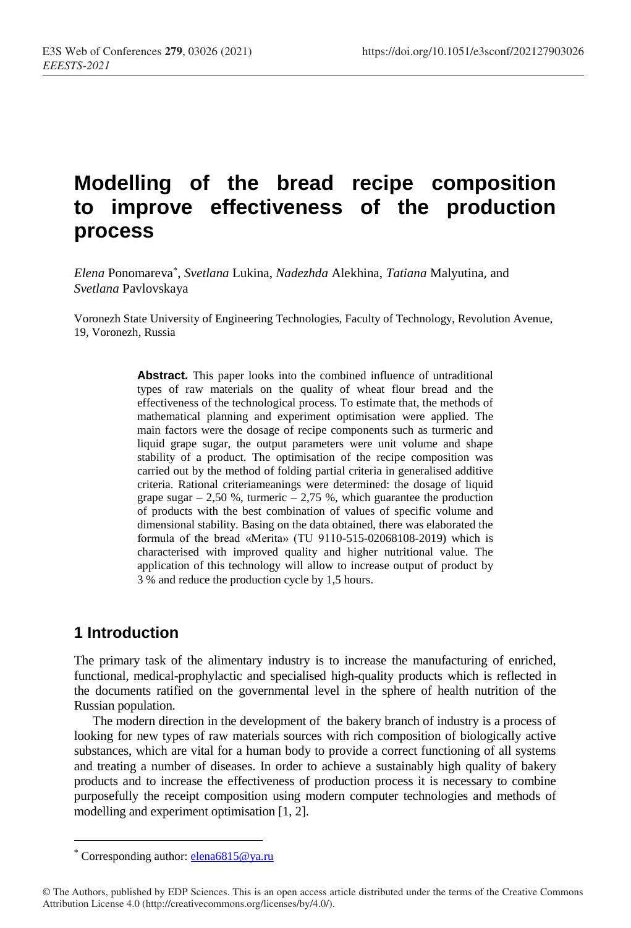# **Modelling of the bread recipe composition to improve effectiveness of the production process**

*Elena* Ponomareva\* , *Svetlana* Lukina, *Nadezhda* Alekhina, *Tatiana* Malyutina, and *Svetlana* Pavlovskaya

Voronezh State University of Engineering Technologies, Faculty of Technology, Revolution Avenue, 19, Voronezh, Russia

> **Abstract.** This paper looks into the combined influence of untraditional types of raw materials on the quality of wheat flour bread and the effectiveness of the technological process. To estimate that, the methods of mathematical planning and experiment optimisation were applied. The main factors were the dosage of recipe components such as turmeric and liquid grape sugar, the output parameters were unit volume and shape stability of a product. The optimisation of the recipe composition was carried out by the method of folding partial criteria in generalised additive criteria. Rational criteriameanings were determined: the dosage of liquid grape sugar  $-2,50$  %, turmeric  $-2,75$  %, which guarantee the production of products with the best combination of values of specific volume and dimensional stability. Basing on the data obtained, there was elaborated the formula of the bread «Merita» (TU 9110-515-02068108-2019) which is characterised with improved quality and higher nutritional value. The application of this technology will allow to increase output of product by 3 % and reduce the production cycle by 1,5 hours.

## **1 Introduction**

The primary task of the alimentary industry is to increase the manufacturing of enriched, functional, medical-prophylactic and specialised high-quality products which is reflected in the documents ratified on the governmental level in the sphere of health nutrition of the Russian population.

The modern direction in the development of the bakery branch of industry is a process of looking for new types of raw materials sources with rich composition of biologically active substances, which are vital for a human body to provide a correct functioning of all systems and treating a number of diseases. In order to achieve a sustainably high quality of bakery products and to increase the effectiveness of production process it is necessary to combine purposefully the receipt composition using modern computer technologies and methods of modelling and experiment optimisation [1, 2].

<sup>\*</sup> Corresponding author: elena6815@ya.ru

<sup>©</sup> The Authors, published by EDP Sciences. This is an open access article distributed under the terms of the Creative Commons Attribution License 4.0 (http://creativecommons.org/licenses/by/4.0/).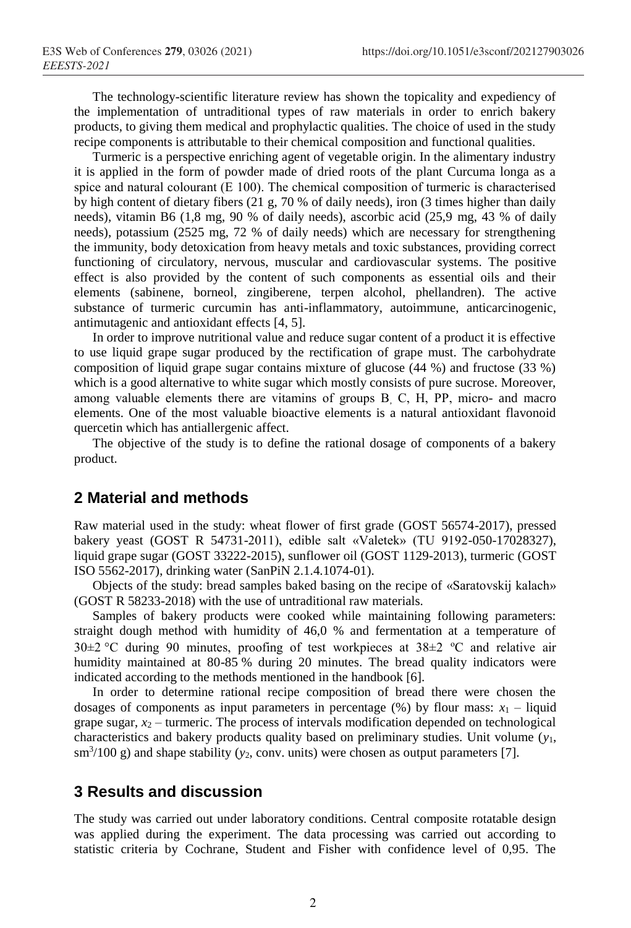The technology-scientific literature review has shown the topicality and expediency of the implementation of untraditional types of raw materials in order to enrich bakery products, to giving them medical and prophylactic qualities. The choice of used in the study recipe components is attributable to their chemical composition and functional qualities.

Turmeric is a perspective enriching agent of vegetable origin. In the alimentary industry it is applied in the form of powder made of dried roots of the plant Curcuma longa as a spice and natural colourant (Е 100). The chemical composition of turmeric is characterised by high content of dietary fibers (21 g, 70 % of daily needs), iron (3 times higher than daily needs), vitamin B6 (1,8 mg, 90 % of daily needs), ascorbic acid (25,9 mg, 43 % of daily needs), potassium (2525 mg, 72 % of daily needs) which are necessary for strengthening the immunity, body detoxication from heavy metals and toxic substances, providing correct functioning of circulatory, nervous, muscular and cardiovascular systems. The positive effect is also provided by the content of such components as essential oils and their elements (sabinene, borneol, zingiberene, terpen alcohol, phellandren). The active substance of turmeric curcumin has anti-inflammatory, autoimmune, anticarcinogenic, antimutagenic and antioxidant effects [4, 5].

In order to improve nutritional value and reduce sugar content of a product it is effective to use liquid grape sugar produced by the rectification of grape must. The carbohydrate composition of liquid grape sugar contains mixture of glucose (44 %) and fructose (33 %) which is a good alternative to white sugar which mostly consists of pure sucrose. Moreover, among valuable elements there are vitamins of groups В, С, Н, РР, micro- and macro elements. One of the most valuable bioactive elements is a natural antioxidant flavonoid quercetin which has antiallergenic affect.

The objective of the study is to define the rational dosage of components of a bakery product.

#### **2 Material and methods**

Raw material used in the study: wheat flower of first grade (GOST 56574-2017), pressed bakery yeast (GOST R 54731-2011), edible salt «Valetek» (TU 9192-050-17028327), liquid grape sugar (GOST 33222-2015), sunflower oil (GOST 1129-2013), turmeric (GOST ISO 5562-2017), drinking water (SanPiN 2.1.4.1074-01).

Objects of the study: bread samples baked basing on the recipe of «Saratovskij kalach» (GOST R 58233-2018) with the use of untraditional raw materials.

Samples of bakery products were cooked while maintaining following parameters: straight dough method with humidity of 46,0 % and fermentation at a temperature of 30 $\pm$ 2 °C during 90 minutes, proofing of test workpieces at 38 $\pm$ 2 °C and relative air humidity maintained at 80-85 % during 20 minutes. The bread quality indicators were indicated according to the methods mentioned in the handbook [6].

In order to determine rational recipe composition of bread there were chosen the dosages of components as input parameters in percentage  $(\%)$  by flour mass:  $x_1$  – liquid grape sugar,  $x_2$  – turmeric. The process of intervals modification depended on technological characteristics and bakery products quality based on preliminary studies. Unit volume (*y*1,  $\sin^{3}/100$  g) and shape stability ( $y_2$ , conv. units) were chosen as output parameters [7].

### **3 Results and discussion**

The study was carried out under laboratory conditions. Central composite rotatable design was applied during the experiment. The data processing was carried out according to statistic criteria by Cochrane, Student and Fisher with confidence level of 0,95. The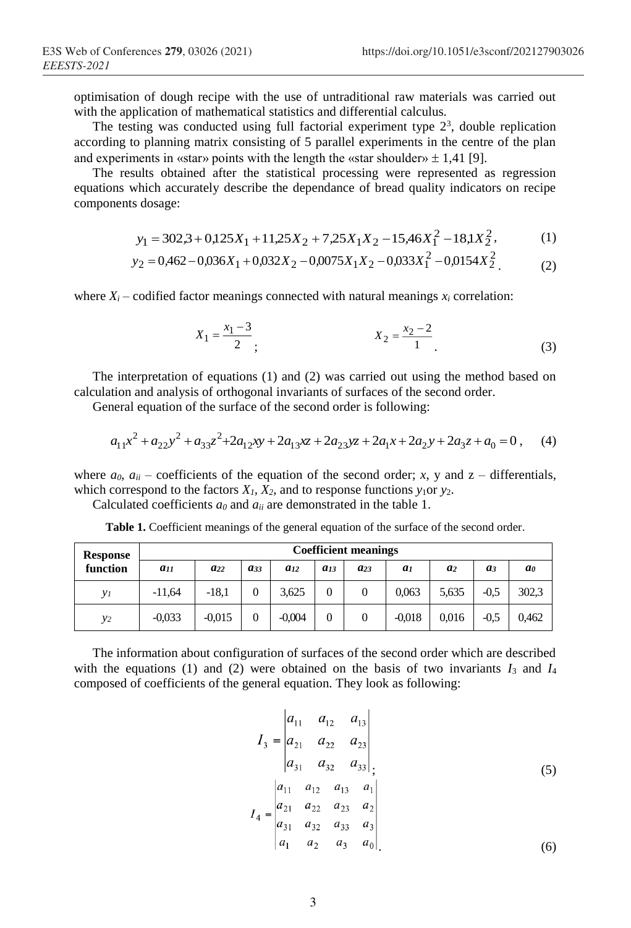optimisation of dough recipe with the use of untraditional raw materials was carried out with the application of mathematical statistics and differential calculus.

The testing was conducted using full factorial experiment type  $2<sup>3</sup>$ , double replication according to planning matrix consisting of 5 parallel experiments in the centre of the plan and experiments in «star» points with the length the «star shoulder»  $\pm$  1,41 [9].

The results obtained after the statistical processing were represented as regression equations which accurately describe the dependance of bread quality indicators on recipe components dosage:

$$
y_1 = 302.3 + 0.125X_1 + 11.25X_2 + 7.25X_1X_2 - 15.46X_1^2 - 18.1X_2^2, \tag{1}
$$

$$
y_2 = 0.462 - 0.036X_1 + 0.032X_2 - 0.0075X_1X_2 - 0.033X_1^2 - 0.0154X_2^2
$$
 (2)

where  $X_i$  – codified factor meanings connected with natural meanings  $x_i$  correlation:

$$
X_1 = \frac{x_1 - 3}{2}; \qquad \qquad X_2 = \frac{x_2 - 2}{1} \tag{3}
$$

The interpretation of equations (1) and (2) was carried out using the method based on calculation and analysis of orthogonal invariants of surfaces of the second order.

General equation of the surface of the second order is following:

$$
a_{11}x^2 + a_{22}y^2 + a_{33}z^2 + 2a_{12}xy + 2a_{13}xz + 2a_{23}yz + 2a_{1}x + 2a_{2}y + 2a_{3}z + a_{0} = 0
$$
, (4)

where  $a_0$ ,  $a_{ii}$  – coefficients of the equation of the second order; *x*, y and z – differentials, which correspond to the factors  $X_1$ ,  $X_2$ , and to response functions  $y_1$ or  $y_2$ .

Calculated coefficients  $a_0$  and  $a_{ii}$  are demonstrated in the table 1.

| <b>Response</b><br>function | <b>Coefficient meanings</b> |          |          |          |          |          |                |                |        |       |
|-----------------------------|-----------------------------|----------|----------|----------|----------|----------|----------------|----------------|--------|-------|
|                             | $a_{11}$                    | $a_{22}$ | $a_{33}$ | $a_{12}$ | $a_{13}$ | $a_{23}$ | a <sub>1</sub> | a <sub>2</sub> | $a_3$  | ao    |
| γı                          | $-11.64$                    | $-18.1$  | 0        | 3.625    |          |          | 0.063          | 5,635          | $-0.5$ | 302,3 |
| $y_2$                       | $-0.033$                    | $-0.015$ | 0        | $-0.004$ |          |          | $-0.018$       | 0.016          | $-0.5$ | 0.462 |

Table 1. Coefficient meanings of the general equation of the surface of the second order.

The information about configuration of surfaces of the second order which are described with the equations (1) and (2) were obtained on the basis of two invariants  $I_3$  and  $I_4$ composed of coefficients of the general equation. They look as following:

$$
I_{3} = \begin{vmatrix} a_{11} & a_{12} & a_{13} \\ a_{21} & a_{22} & a_{23} \\ a_{31} & a_{32} & a_{33} \end{vmatrix},
$$
\n
$$
I_{4} = \begin{vmatrix} a_{11} & a_{12} & a_{13} & a_{1} \\ a_{21} & a_{22} & a_{23} & a_{2} \\ a_{31} & a_{32} & a_{33} & a_{3} \\ a_{1} & a_{2} & a_{3} & a_{0} \end{vmatrix}
$$
\n(6)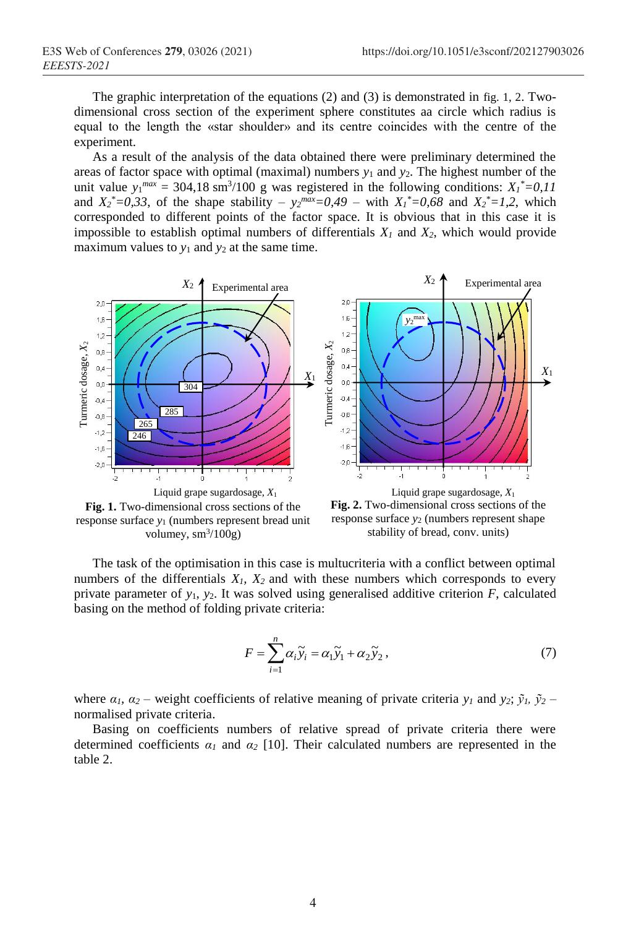The graphic interpretation of the equations (2) and (3) is demonstrated in fig. 1, 2. Twodimensional cross section of the experiment sphere constitutes aa circle which radius is equal to the length the «star shoulder» and its centre coincides with the centre of the experiment.

As a result of the analysis of the data obtained there were preliminary determined the areas of factor space with optimal (maximal) numbers  $y_1$  and  $y_2$ . The highest number of the unit value  $y_1^{max} = 304,18 \text{ sm}^3/100 \text{ g}$  was registered in the following conditions:  $X_1^* = 0.11$ and  $X_2^* = 0.33$ , of the shape stability –  $y_2^{max} = 0.49$  – with  $X_1^* = 0.68$  and  $X_2^* = 1.2$ , which corresponded to different points of the factor space. It is obvious that in this case it is impossible to establish optimal numbers of differentials *X<sup>1</sup>* and *X2*, which would provide maximum values to  $y_1$  and  $y_2$  at the same time.



**Fig. 1.** Two-dimensional cross sections of the response surface *y*<sup>1</sup> (numbers represent bread unit volumey,  $\text{sm}^3/100\text{g}$ )

**Fig. 2.** Two-dimensional cross sections of the response surface *y*<sup>2</sup> (numbers represent shape stability of bread, conv. units)

The task of the optimisation in this case is multucriteria with a conflict between optimal numbers of the differentials  $X_1$ ,  $X_2$  and with these numbers which corresponds to every private parameter of  $y_1$ ,  $y_2$ . It was solved using generalised additive criterion  $F$ , calculated basing on the method of folding private criteria:

$$
F = \sum_{i=1}^{n} \alpha_i \widetilde{y}_i = \alpha_1 \widetilde{y}_1 + \alpha_2 \widetilde{y}_2, \qquad (7)
$$

where  $\alpha_l$ ,  $\alpha_2$  – weight coefficients of relative meaning of private criteria  $y_l$  and  $y_2$ ;  $\tilde{y}_l$ ,  $\tilde{y}_2$  – normalised private criteria.

Basing on coefficients numbers of relative spread of private criteria there were determined coefficients  $\alpha_1$  and  $\alpha_2$  [10]. Their calculated numbers are represented in the table 2.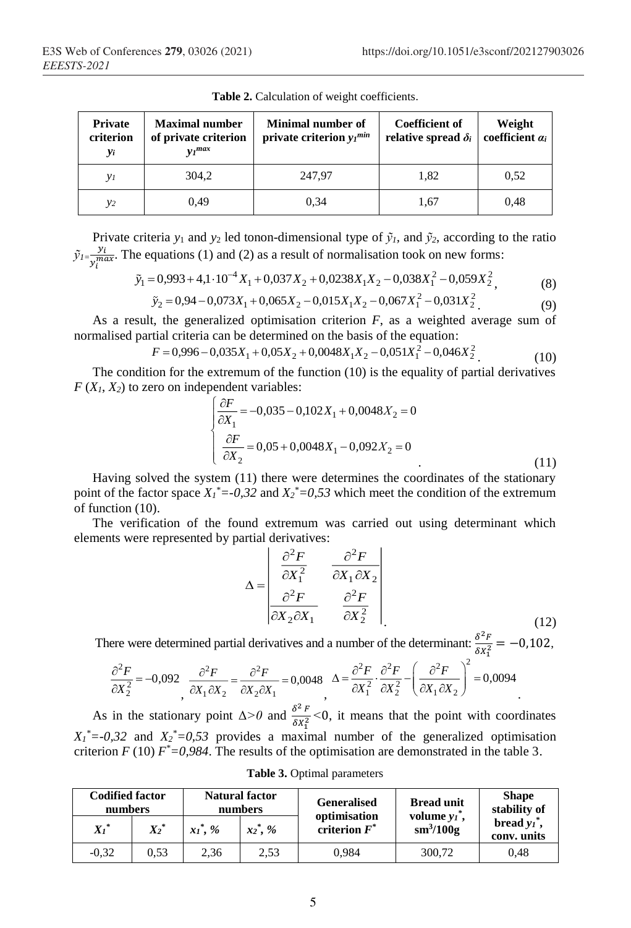| Private<br>criterion<br>yi | <b>Maximal number</b><br>of private criterion<br>$v_1$ <sup>max</sup> | Minimal number of<br>private criterion $y_I^{min}$ | <b>Coefficient of</b><br>relative spread $\delta_i$ | Weight<br>coefficient $a_i$ |  |
|----------------------------|-----------------------------------------------------------------------|----------------------------------------------------|-----------------------------------------------------|-----------------------------|--|
| $y_I$                      | 304.2                                                                 | 247.97                                             | 1,82                                                | 0.52                        |  |
| $y_2$                      | 0.49                                                                  | 0.34                                               | 1.67                                                | 0.48                        |  |

**Table 2.** Calculation of weight coefficients.

Private criteria  $y_1$  and  $y_2$  led tonon-dimensional type of  $\tilde{y}_i$ , and  $\tilde{y}_2$ , according to the ratio  $\tilde{y}_l = \frac{y_i}{m}$  $\frac{y_i}{y_i^{max}}$ . The equations (1) and (2) as a result of normalisation took on new forms:

$$
\tilde{y}_1 = 0.993 + 4.1 \cdot 10^{-4} X_1 + 0.037 X_2 + 0.0238 X_1 X_2 - 0.038 X_1^2 - 0.059 X_2^2, \tag{8}
$$

$$
\tilde{y}_2 = 0.94 - 0.073X_1 + 0.065X_2 - 0.015X_1X_2 - 0.067X_1^2 - 0.031X_2^2
$$
\n(9)

As a result, the generalized optimisation criterion *F*, as a weighted average sum of normalised partial criteria can be determined on the basis of the equation:

$$
F = 0.996 - 0.035X_1 + 0.05X_2 + 0.0048X_1X_2 - 0.051X_1^2 - 0.046X_2^2
$$
\n<sup>(10)</sup>

The condition for the extremum of the function (10) is the equality of partial derivatives  $F(X_1, X_2)$  to zero on independent variables:

$$
\begin{cases}\n\frac{\partial F}{\partial X_1} = -0.035 - 0.102X_1 + 0.0048X_2 = 0 \\
\frac{\partial F}{\partial X_2} = 0.05 + 0.0048X_1 - 0.092X_2 = 0\n\end{cases}
$$
\n(11)

Having solved the system (11) there were determines the coordinates of the stationary point of the factor space  $X_I^* = -0.32$  and  $X_2^* = 0.53$  which meet the condition of the extremum of function (10).

The verification of the found extremum was carried out using determinant which elements were represented by partial derivatives:

$$
\Delta = \begin{bmatrix} \frac{\partial^2 F}{\partial X_1^2} & \frac{\partial^2 F}{\partial X_1 \partial X_2} \\ \frac{\partial^2 F}{\partial X_2 \partial X_1} & \frac{\partial^2 F}{\partial X_2^2} \end{bmatrix}
$$
(12)

There were determined partial derivatives and a number of the determinant:  $\frac{\delta^2 F}{\delta x^2}$  $\frac{\partial F}{\partial x_1^2} = -0,102,$ 

$$
\frac{\partial^2 F}{\partial X_2^2} = -0,092 \frac{\partial^2 F}{\partial X_1 \partial X_2} = \frac{\partial^2 F}{\partial X_2 \partial X_1} = 0,0048 \quad \Delta = \frac{\partial^2 F}{\partial X_1^2} \cdot \frac{\partial^2 F}{\partial X_2^2} - \left(\frac{\partial^2 F}{\partial X_1 \partial X_2}\right)^2 = 0,0094
$$

As in the stationary point  $\Delta > 0$  and  $\frac{\delta^2 F}{\delta x^2}$  $\frac{\delta r}{\delta x_1^2}$  <0, it means that the point with coordinates  $X_1$ <sup>\*</sup>=-0,32 and  $X_2$ <sup>\*</sup>=0,53 provides a maximal number of the generalized optimisation criterion  $F(10) F^* = 0.984$ . The results of the optimisation are demonstrated in the table 3.

|  |  | Table 3. Optimal parameters |
|--|--|-----------------------------|
|--|--|-----------------------------|

| <b>Codified factor</b><br>numbers |         | <b>Natural factor</b><br>numbers |              | <b>Generalised</b><br>optimisation | <b>Bread unit</b><br>volume $v_i^*$ , | <b>Shape</b><br>stability of   |  |
|-----------------------------------|---------|----------------------------------|--------------|------------------------------------|---------------------------------------|--------------------------------|--|
| $Xi^*$                            | $X_2^*$ | $xi^*$ , %                       | $x_2^*, y_0$ | criterion $F^*$                    | $\mathrm{sm}^3/100\mathrm{g}$         | bread $y_i^*$ ,<br>conv. units |  |
| $-0.32$                           | 0.53    | 2,36                             | 2.53         | 0.984                              | 300,72                                | 0.48                           |  |